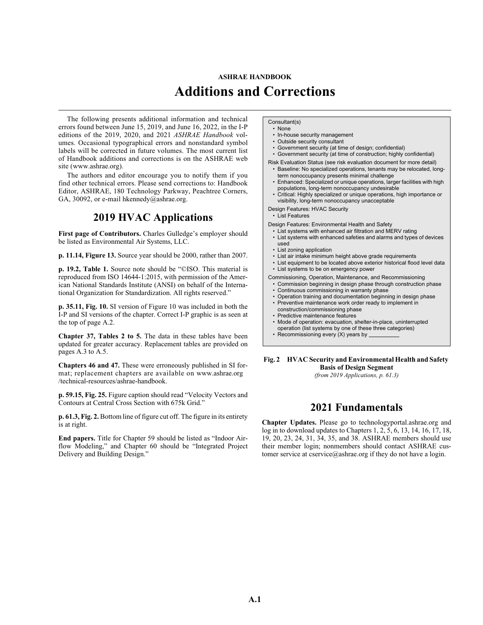# **ASHRAE HANDBOOK Additions and Corrections**

The following presents additional information and technical errors found between June 15, 2019, and June 16, 2022, in the I-P editions of the 2019, 2020, and 2021 *ASHRAE Handbook* volumes. Occasional typographical errors and nonstandard symbol labels will be corrected in future volumes. The most current list of Handbook additions and corrections is on the ASHRAE web site [\(www.ashrae.org](http://www.ashrae.org
)).

The authors and editor encourage you to notify them if you find other technical errors. Please send corrections to: Handbook Editor, ASHRAE, 180 Technology Parkway, Peachtree Corners, GA, 30092, or e-mail [hkennedy@ashrae.org.](mailto:hkennedy@ashrae.org)

### **2019 HVAC Applications**

First page of Contributors. Charles Gulledge's employer should be listed as Environmental Air Systems, LLC.

**p. 11.14, Figure 13.** Source year should be 2000, rather than 2007.

**p. 19.2, Table 1.** Source note should be "©ISO. This material is reproduced from ISO 14644-1:2015, with permission of the American National Standards Institute (ANSI) on behalf of the International Organization for Standardization. All rights reserved."

**p. 35.11, Fig. 10.** SI version of Figure 10 was included in both the I-P and SI versions of the chapter. Correct I-P graphic is as seen at the top of page A.2.

**Chapter 37, Tables 2 to 5.** The data in these tables have been updated for greater accuracy. Replacement tables are provided on pages A.3 to A.5.

**Chapters 46 and 47.** These were erroneously published in SI format; replacement chapters are available on [www.ashrae.org](http://www.ashrae.org/technical-resources/ashrae-handbook) [/technical-resources/ashrae-handbook.](http://www.ashrae.org/technical-resources/ashrae-handbook)

**p. 59.15, Fig. 25.** Figure caption should read "Velocity Vectors and Contours at Central Cross Section with 675k Grid."

**p. 61.3, Fig. 2.** Bottom line of figure cut off. The figure in its entirety is at right.

**End papers.** Title for Chapter 59 should be listed as "Indoor Airflow Modeling," and Chapter 60 should be "Integrated Project Delivery and Building Design."

#### Consultant(s)

- None
- In-house security management
- Outside security consultant
- Government security (at time of design; confidential)

• Government security (at time of construction; highly confidential)

- Risk Evaluation Status (see risk evaluation document for more detail) • Baseline: No specialized operations, tenants may be relocated, long-
- term nonoccupancy presents minimal challenge • Enhanced: Specialized or unique operations, larger facilities with high
- populations, long-term nonoccupancy undesirable • Critical: Highly specialized or unique operations, high importance or
- visibility, long-term nonoccupancy unacceptable
- Design Features: HVAC Security
- List Features

Design Features: Environmental Health and Safety

- List systems with enhanced air filtration and MERV rating
- List systems with enhanced safeties and alarms and types of devices used
- List zoning application
- List air intake minimum height above grade requirements
- List equipment to be located above exterior historical flood level data
- List systems to be on emergency power

Commissioning, Operation, Maintenance, and Recommissioning

- Commission beginning in design phase through construction phase
- Continuous commissioning in warranty phase
- Operation training and documentation beginning in design phase • Preventive maintenance work order ready to implement in
- construction/commissioning phase
- Predictive maintenance features
- Mode of operation: evacuation, shelter-in-place, uninterrupted
- operation (list systems by one of these three categories)
- Recommissioning every (X) years by

**Fig. 2 HVAC Security and Environmental Health and Safety Basis of Design Segment**

*(from 2019 Applications, p. 61.3)*

## **2021 Fundamentals**

**Chapter Updates.** Please go to technologyportal.ashrae.org and log in to download updates to Chapters 1, 2, 5, 6, 13, 14, 16, 17, 18, 19, 20, 23, 24, 31, 34, 35, and 38. ASHRAE members should use their member login; nonmembers should contact ASHRAE customer service at cservice@ashrae.org if they do not have a login.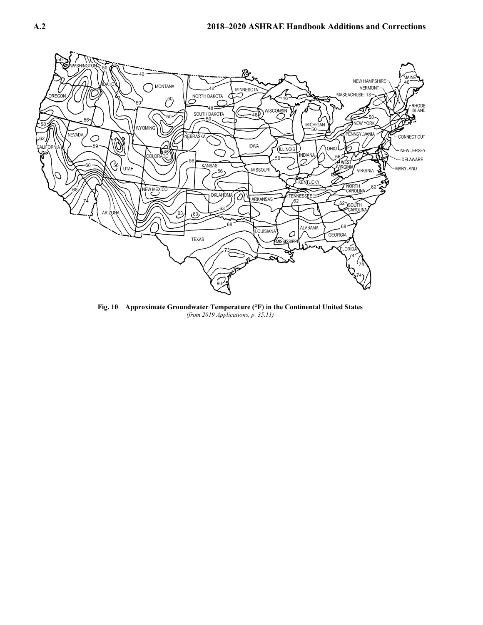

**Fig. 10 Approximate Groundwater Temperature (°F) in the Continental United States** *(from 2019 Applications, p. 35.11)*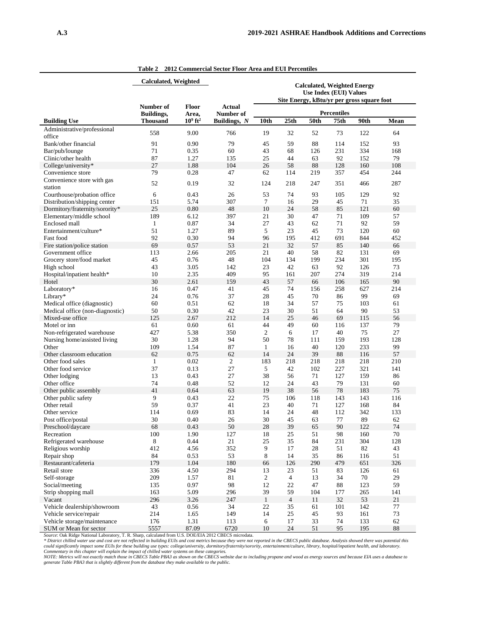|                                                       |                                | <b>Calculated, Weighted</b><br><b>Calculated, Weighted Energy</b> |                     |                                            |                |           |                    |            |           |
|-------------------------------------------------------|--------------------------------|-------------------------------------------------------------------|---------------------|--------------------------------------------|----------------|-----------|--------------------|------------|-----------|
|                                                       |                                |                                                                   |                     | <b>Use Index (EUI) Values</b>              |                |           |                    |            |           |
|                                                       |                                |                                                                   |                     | Site Energy, kBtu/yr per gross square foot |                |           |                    |            |           |
|                                                       | Number of<br><b>Buildings,</b> | <b>Floor</b><br>Area,                                             | Actual<br>Number of |                                            |                |           | <b>Percentiles</b> |            |           |
| <b>Building Use</b>                                   | <b>Thousand</b>                | $109$ ft <sup>2</sup>                                             | Buildings, N        | 10th                                       | 25th           | 50th      | 75th               | 90th       | Mean      |
| Administrative/professional                           | 558                            | 9.00                                                              | 766                 | 19                                         | 32             | 52        | 73                 | 122        | 64        |
| office                                                |                                |                                                                   |                     |                                            |                |           |                    |            |           |
| Bank/other financial                                  | 91                             | 0.90                                                              | 79                  | 45                                         | 59             | 88        | 114                | 152        | 93        |
| Bar/pub/lounge                                        | 71                             | 0.35                                                              | 60                  | 43                                         | 68             | 126       | 231                | 334        | 168       |
| Clinic/other health                                   | 87<br>27                       | 1.27<br>1.88                                                      | 135<br>104          | 25<br>26                                   | 44<br>58       | 63<br>88  | 92<br>128          | 152        | 79<br>108 |
| College/university*<br>Convenience store              | 79                             | 0.28                                                              | 47                  | 62                                         | 114            | 219       | 357                | 160<br>454 | 244       |
| Convenience store with gas                            |                                |                                                                   |                     |                                            |                |           |                    |            |           |
| station                                               | 52                             | 0.19                                                              | 32                  | 124                                        | 218            | 247       | 351                | 466        | 287       |
| Courthouse/probation office                           | 6                              | 0.43                                                              | 26                  | 53                                         | 74             | 93        | 105                | 129        | 92        |
| Distribution/shipping center                          | 151                            | 5.74                                                              | 307                 | 7                                          | 16             | 29        | 45                 | 71         | 35        |
| Dormitory/fraternity/sorority*                        | 25                             | 0.80                                                              | 48                  | 10                                         | 24             | 58        | 85                 | 121        | 60        |
| Elementary/middle school                              | 189                            | 6.12                                                              | 397                 | 21                                         | 30             | 47        | 71                 | 109        | 57        |
| Enclosed mall                                         | 1<br>51                        | 0.87                                                              | 34                  | 27                                         | 43             | 62        | 71<br>73           | 92         | 59        |
| Entertainment/culture*                                |                                | 1.27                                                              | 89<br>94            | 5                                          | 23             | 45        |                    | 120        | 60        |
| Fast food                                             | 92                             | 0.30                                                              |                     | 96<br>21                                   | 195<br>32      | 412       | 691                | 844        | 452       |
| Fire station/police station<br>Government office      | 69                             | 0.57<br>2.66                                                      | 53<br>205           | 21                                         | 40             | 57        | 85<br>82           | 140<br>131 | 66<br>69  |
|                                                       | 113<br>45                      | 0.76                                                              | 48                  | 104                                        | 134            | 58<br>199 | 234                | 301        | 195       |
| Grocery store/food market<br>High school              | 43                             | 3.05                                                              | 142                 | 23                                         | 42             | 63        | 92                 | 126        | 73        |
| Hospital/inpatient health*                            | 10                             | 2.35                                                              | 409                 | 95                                         | 161            | 207       | 274                | 319        | 214       |
| Hotel                                                 | 30                             | 2.61                                                              | 159                 | 43                                         | 57             | 66        | 106                | 165        | 90        |
| Laboratory*                                           | 16                             | 0.47                                                              | 41                  | 45                                         | 74             | 156       | 258                | 627        | 214       |
| Library*                                              | 24                             | 0.76                                                              | 37                  | 28                                         | 45             | 70        | 86                 | 99         | 69        |
| Medical office (diagnostic)                           | 60                             | 0.51                                                              | 62                  | 18                                         | 34             | 57        | 75                 | 103        | 61        |
| Medical office (non-diagnostic)                       | 50                             | 0.30                                                              | 42                  | 23                                         | 30             | 51        | 64                 | 90         | 53        |
| Mixed-use office                                      | 125                            | 2.67                                                              | 212                 | 14                                         | 25             | 46        | 69                 | 115        | 56        |
| Motel or inn                                          | 61                             | 0.60                                                              | 61                  | 44                                         | 49             | 60        | 116                | 137        | 79        |
| Non-refrigerated warehouse                            | 427                            | 5.38                                                              | 350                 | $\overline{c}$                             | 6              | 17        | 40                 | 75         | 27        |
| Nursing home/assisted living                          | 30                             | 1.28                                                              | 94                  | 50                                         | 78             | 111       | 159                | 193        | 128       |
| Other                                                 | 109                            | 1.54                                                              | 87                  | $\mathbf{1}$                               | 16             | 40        | 120                | 233        | 99        |
| Other classroom education                             | 62                             | 0.75                                                              | 62                  | 14                                         | 24             | 39        | 88                 | 116        | 57        |
| Other food sales                                      | 1                              | 0.02                                                              | $\overline{c}$      | 183                                        | 218            | 218       | 218                | 218        | 210       |
| Other food service                                    | 37                             | 0.13                                                              | 27                  | 5                                          | 42             | 102       | 227                | 321        | 141       |
| Other lodging                                         | 13                             | 0.43                                                              | 27                  | 38                                         | 56             | 71        | 127                | 159        | 86        |
| Other office                                          | 74                             | 0.48                                                              | 52                  | 12                                         | 24             | 43        | 79                 | 131        | 60        |
| Other public assembly                                 | 41                             | 0.64                                                              | 63                  | 19                                         | 38             | 56        | 78                 | 183        | 75        |
| Other public safety                                   | 9                              | 0.43                                                              | 22                  | 75                                         | 106            | 118       | 143                | 143        | 116       |
| Other retail                                          | 59                             | 0.37                                                              | 41                  | 23                                         | 40             | 71        | 127                | 168        | 84        |
| Other service                                         | 114                            | 0.69                                                              | 83                  | 14                                         | 24             | 48        | 112                | 342        | 133       |
| Post office/postal                                    | 30                             | 0.40                                                              | 26                  | 30                                         | 45             | 63        | 77                 | 89         | 62        |
| Preschool/daycare                                     | 68                             | 0.43                                                              | 50                  | $28\,$                                     | 39             | 65        | 90                 | 122        | 74        |
| Recreation                                            | 100                            | 1.90                                                              | 127                 | 18                                         | 25             | 51        | 98                 | 160        | 70        |
| Refrigerated warehouse                                | 8                              | 0.44                                                              | 21                  | 25                                         | 35             | 84        | 231                | 304        | 128       |
| Religious worship                                     | 412                            | 4.56                                                              | 352                 | 9                                          | 17             | 28        | 51                 | 82         | 43        |
| Repair shop                                           | 84                             | 0.53                                                              | 53                  | $8\,$                                      | 14             | 35        | 86                 | 116        | 51        |
| Restaurant/cafeteria                                  | 179                            | 1.04                                                              | 180                 | 66                                         | 126            | 290       | 479                | 651        | 326       |
| Retail store                                          | 336                            | 4.50                                                              | 294                 | 13                                         | 23             | 51        | 83                 | 126        | 61        |
| Self-storage                                          | 209                            | 1.57                                                              | 81                  | $\sqrt{2}$                                 | $\overline{4}$ | 13        | 34                 | 70         | 29        |
| Social/meeting                                        | 135                            | 0.97                                                              | 98                  | 12                                         | 22             | 47        | 88                 | 123        | 59        |
| Strip shopping mall                                   | 163                            | 5.09                                                              | 296                 | 39                                         | 59             | 104       | 177                | 265        | 141       |
| Vacant                                                | 296                            | 3.26                                                              | 247                 | $\mathbf{1}$                               | $\overline{4}$ | 11        | 32                 | 53         | 21        |
| Vehicle dealership/showroom<br>Vehicle service/repair | 43                             | 0.56                                                              | 34                  | 22                                         | 35             | 61        | 101                | 142        | 77        |
|                                                       | 214<br>176                     | 1.65<br>1.31                                                      | 149<br>113          | 14<br>6                                    | 25<br>17       | 45<br>33  | 93<br>74           | 161<br>133 | 73        |
| Vehicle storage/maintenance<br>SUM or Mean for sector | 5557                           | 87.09                                                             | 6720                | 10                                         | 24             | 51        | 95                 | 195        | 62<br>88  |
|                                                       |                                |                                                                   |                     |                                            |                |           |                    |            |           |

**Table 2 2012 Commercial Sector Floor Area and EUI Percentiles**

SUM or Mean for sector 5557 87.09 6720 10 24 51 95 195 195 88<br>Source: Oak Ridge National Laboratory, T. R. Sharp, calculated from U.S. DOE/EIA 2012 CBECS microdata.<br>\* District chilled water use and cost are not reflected i

j.

L,

 $\overline{\phantom{a}}$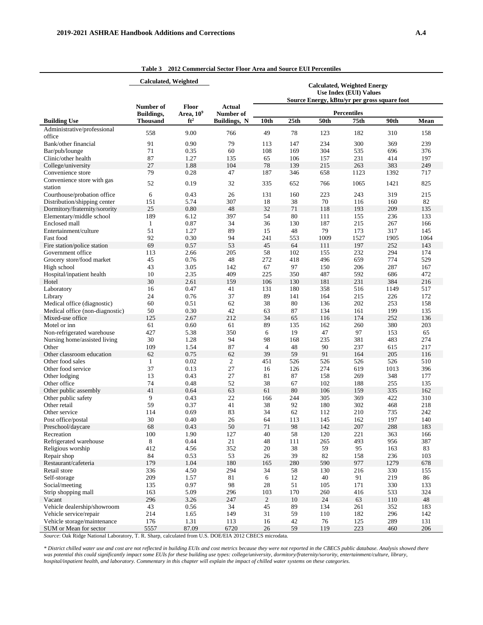|                                       | Calculated, Weighted |                       |                     |                                                                     |            |            |                                              |            |            |
|---------------------------------------|----------------------|-----------------------|---------------------|---------------------------------------------------------------------|------------|------------|----------------------------------------------|------------|------------|
|                                       |                      |                       |                     | <b>Calculated, Weighted Energy</b><br><b>Use Index (EUI) Values</b> |            |            |                                              |            |            |
|                                       |                      |                       |                     |                                                                     |            |            | Source Energy, kBtu/yr per gross square foot |            |            |
|                                       | Number of            | <b>Floor</b>          | <b>Actual</b>       |                                                                     |            |            |                                              |            |            |
|                                       | <b>Buildings,</b>    | Area, 10 <sup>9</sup> | Number of           |                                                                     |            |            | <b>Percentiles</b>                           |            |            |
| <b>Building Use</b>                   | <b>Thousand</b>      | $ft^2$                | <b>Buildings, N</b> | 10th                                                                | 25th       | 50th       | 75th                                         | 90th       | Mean       |
| Administrative/professional           | 558                  | 9.00                  | 766                 | 49                                                                  | 78         | 123        | 182                                          | 310        | 158        |
| office                                |                      |                       |                     |                                                                     |            |            |                                              |            |            |
| Bank/other financial                  | 91<br>71             | 0.90<br>0.35          | 79<br>60            | 113                                                                 | 147        | 234<br>304 | 300<br>535                                   | 369<br>696 | 239<br>376 |
| Bar/pub/lounge<br>Clinic/other health | 87                   | 1.27                  |                     | 108<br>65                                                           | 169<br>106 | 157        | 231                                          | 414        | 197        |
| College/university                    | 27                   | 1.88                  | 135<br>104          | 78                                                                  | 139        | 215        | 263                                          | 383        | 249        |
| Convenience store                     | 79                   | 0.28                  | 47                  | 187                                                                 | 346        | 658        | 1123                                         | 1392       | 717        |
| Convenience store with gas            |                      |                       |                     |                                                                     |            |            |                                              |            |            |
| station                               | 52                   | 0.19                  | 32                  | 335                                                                 | 652        | 766        | 1065                                         | 1421       | 825        |
| Courthouse/probation office           | 6                    | 0.43                  | 26                  | 131                                                                 | 160        | 223        | 243                                          | 319        | 215        |
| Distribution/shipping center          | 151                  | 5.74                  | 307                 | 18                                                                  | 38         | 70         | 116                                          | 160        | 82         |
| Dormitory/fraternity/sorority         | 25                   | 0.80                  | 48                  | 32                                                                  | 71         | 118        | 193                                          | 209        | 135        |
| Elementary/middle school              | 189                  | 6.12                  | 397                 | 54                                                                  | 80         | 111        | 155                                          | 236        | 133        |
| Enclosed mall                         | $\mathbf{1}$         | 0.87                  | 34                  | 36                                                                  | 130        | 187        | 215                                          | 267        | 166        |
| Entertainment/culture                 | 51                   | 1.27                  | 89                  | 15                                                                  | 48         | 79         | 173                                          | 317        | 145        |
| Fast food                             | 92                   | 0.30                  | 94                  | 241                                                                 | 553        | 1009       | 1527                                         | 1905       | 1064       |
| Fire station/police station           | 69                   | 0.57                  | 53                  | 45                                                                  | 64         | 111        | 197                                          | 252        | 143        |
| Government office                     | 113                  | 2.66                  | 205                 | 58                                                                  | 102        | 155        | 232                                          | 294        | 174        |
| Grocery store/food market             | 45                   | 0.76                  | 48                  | 272                                                                 | 418        | 496        | 659                                          | 774        | 529        |
| High school                           | 43                   | 3.05                  | 142                 | 67                                                                  | 97         | 150        | 206                                          | 287        | 167        |
| Hospital/inpatient health             | 10                   | 2.35                  | 409                 | 225                                                                 | 350        | 487        | 592                                          | 686        | 472        |
| Hotel                                 | 30                   | 2.61                  | 159                 | 106                                                                 | 130        | 181        | 231                                          | 384        | 216        |
| Laboratory                            | 16                   | 0.47                  | 41                  | 131                                                                 | 180        | 358        | 516                                          | 1149       | 517        |
| Library                               | 24                   | 0.76                  | 37                  | 89                                                                  | 141        | 164        | 215                                          | 226        | 172        |
| Medical office (diagnostic)           | 60                   | 0.51                  | 62                  | 38                                                                  | 80         | 136        | 202                                          | 253        | 158        |
| Medical office (non-diagnostic)       | 50                   | 0.30                  | 42                  | 63                                                                  | 87         | 134        | 161                                          | 199        | 135        |
| Mixed-use office                      | 125                  | 2.67                  | 212                 | 34                                                                  | 65         | 116        | 174                                          | 252        | 136        |
| Motel or inn                          | 61                   | 0.60                  | 61                  | 89                                                                  | 135        | 162        | 260                                          | 380        | 203        |
| Non-refrigerated warehouse            | 427                  | 5.38                  | 350                 | 6                                                                   | 19         | 47         | 97                                           | 153        | 65         |
| Nursing home/assisted living          | 30                   | 1.28                  | 94                  | 98                                                                  | 168        | 235        | 381                                          | 483        | 274        |
| Other                                 | 109                  | 1.54                  | 87                  | $\overline{4}$                                                      | 48         | 90         | 237                                          | 615        | 217        |
| Other classroom education             | 62                   | 0.75                  | 62                  | 39                                                                  | 59         | 91         | 164                                          | 205        | 116        |
| Other food sales                      | 1                    | 0.02                  | $\overline{c}$      | 451                                                                 | 526        | 526        | 526                                          | 526        | 510        |
| Other food service                    | 37                   | 0.13                  | 27                  | 16                                                                  | 126        | 274        | 619                                          | 1013       | 396        |
| Other lodging                         | 13                   | 0.43                  | 27<br>52            | 81                                                                  | 87         | 158        | 269                                          | 348        | 177        |
| Other office<br>Other public assembly | 74<br>41             | 0.48<br>0.64          | 63                  | 38<br>61                                                            | 67<br>80   | 102<br>106 | 188<br>159                                   | 255<br>335 | 135<br>162 |
| Other public safety                   | 9                    | 0.43                  | 22                  | 166                                                                 | 244        | 305        | 369                                          | 422        | 310        |
| Other retail                          | 59                   | 0.37                  | 41                  | 38                                                                  | 92         | 180        | 302                                          | 468        | 218        |
| Other service                         | 114                  | 0.69                  | 83                  | 34                                                                  | 62         | 112        | 210                                          | 735        | 242        |
| Post office/postal                    | 30                   | 0.40                  | 26                  | 64                                                                  | 113        | 145        | 162                                          | 197        | 140        |
| Preschool/daycare                     | 68                   | 0.43                  | 50                  | 71                                                                  | 98         | 142        | 207                                          | 288        | 183        |
| Recreation                            | 100                  | 1.90                  | 127                 | 40                                                                  | 58         | 120        | 221                                          | 363        | 166        |
| Refrigerated warehouse                | 8                    | 0.44                  | 21                  | 48                                                                  | 111        | 265        | 493                                          | 956        | 387        |
| Religious worship                     | 412                  | 4.56                  | 352                 | 20                                                                  | 38         | 59         | 95                                           | 163        | 83         |
| Repair shop                           | 84                   | 0.53                  | 53                  | 26                                                                  | 39         | 82         | 158                                          | 236        | 103        |
| Restaurant/cafeteria                  | 179                  | 1.04                  | 180                 | 165                                                                 | 280        | 590        | 977                                          | 1279       | 678        |
| Retail store                          | 336                  | 4.50                  | 294                 | 34                                                                  | 58         | 130        | 216                                          | 330        | 155        |
| Self-storage                          | 209                  | 1.57                  | 81                  | 6                                                                   | 12         | 40         | 91                                           | 219        | 86         |
| Social/meeting                        | 135                  | 0.97                  | 98                  | 28                                                                  | 51         | 105        | 171                                          | 330        | 133        |
| Strip shopping mall                   | 163                  | 5.09                  | 296                 | 103                                                                 | 170        | 260        | 416                                          | 533        | 324        |
| Vacant                                | 296                  | 3.26                  | 247                 | $\overline{2}$                                                      | 10         | 24         | 63                                           | 110        | 48         |
| Vehicle dealership/showroom           | 43                   | 0.56                  | 34                  | 45                                                                  | 89         | 134        | 261                                          | 352        | 183        |
| Vehicle service/repair                | 214                  | 1.65                  | 149                 | 31                                                                  | 59         | 110        | 182                                          | 296        | 142        |
| Vehicle storage/maintenance           | 176                  | 1.31                  | 113                 | 16                                                                  | 42         | 76         | 125                                          | 289        | 131        |
| SUM or Mean for sector                | 5557                 | 87.09                 | 6720                | 26                                                                  | 59         | 119        | 223                                          | 460        | 206        |

**Table 3 2012 Commercial Sector Floor Area and Source EUI Percentiles**

*Source*: Oak Ridge National Laboratory, T. R. Sharp, calculated from U.S. DOE/EIA 2012 CBECS microdata.

*\* District chilled water use and cost are not reflected in building EUIs and cost metrics because they were not reported in the CBECS public database. Analysis showed there was potential this could significantly impact some EUIs for these building use types: college/university, dormitory/fraternity/sorority, entertainment/culture, library, hospital/inpatient health, and laboratory. Commentary in this chapter will explain the impact of chilled water systems on these categories.*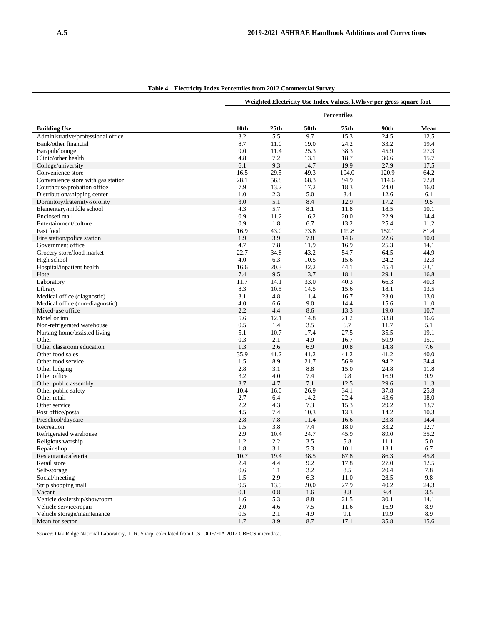|                                         |         | Weighted Electricity Use Index Values, kWh/yr per gross square foot |                 |             |       |      |  |  |  |
|-----------------------------------------|---------|---------------------------------------------------------------------|-----------------|-------------|-------|------|--|--|--|
|                                         |         |                                                                     |                 | Percentiles |       |      |  |  |  |
| <b>Building Use</b>                     | 10th    | 25 <sub>th</sub>                                                    | 50th            | 75th        | 90th  | Mean |  |  |  |
| Administrative/professional office      | 3.2     | 5.5                                                                 | 9.7             | 15.3        | 24.5  | 12.5 |  |  |  |
| Bank/other financial                    | 8.7     | 11.0                                                                | 19.0            | 24.2        | 33.2  | 19.4 |  |  |  |
| Bar/pub/lounge                          | 9.0     | 11.4                                                                | 25.3            | 38.3        | 45.9  | 27.3 |  |  |  |
| Clinic/other health                     | 4.8     | 7.2                                                                 | 13.1            | 18.7        | 30.6  | 15.7 |  |  |  |
| College/university                      | 6.1     | 9.3                                                                 | 14.7            | 19.9        | 27.9  | 17.5 |  |  |  |
| Convenience store                       | 16.5    | 29.5                                                                | 49.3            | 104.0       | 120.9 | 64.2 |  |  |  |
| Convenience store with gas station      | 28.1    | 56.8                                                                | 68.3            | 94.9        | 114.6 | 72.8 |  |  |  |
| Courthouse/probation office             | 7.9     | 13.2                                                                | 17.2            | 18.3        | 24.0  | 16.0 |  |  |  |
| Distribution/shipping center            | 1.0     | 2.3                                                                 | 5.0             | 8.4         | 12.6  | 6.1  |  |  |  |
| Dormitory/fraternity/sorority           | 3.0     | 5.1                                                                 | 8.4             | 12.9        | 17.2  | 9.5  |  |  |  |
| Elementary/middle school                | 4.3     | 5.7                                                                 | 8.1             | 11.8        | 18.5  | 10.1 |  |  |  |
| Enclosed mall                           | 0.9     | 11.2                                                                | 16.2            | 20.0        | 22.9  | 14.4 |  |  |  |
| Entertainment/culture                   | 0.9     | 1.8                                                                 | 6.7             | 13.2        | 25.4  | 11.2 |  |  |  |
| Fast food                               | 16.9    | 43.0                                                                | 73.8            | 119.8       | 152.1 | 81.4 |  |  |  |
| Fire station/police station             | 1.9     | 3.9                                                                 | 7.8             | 14.6        | 22.6  | 10.0 |  |  |  |
| Government office                       | 4.7     | 7.8                                                                 | 11.9            | 16.9        | 25.3  | 14.1 |  |  |  |
| Grocery store/food market               | 22.7    | 34.8                                                                | 43.2            | 54.7        | 64.5  | 44.9 |  |  |  |
| High school                             | 4.0     | 6.3                                                                 | 10.5            | 15.6        | 24.2  | 12.3 |  |  |  |
| Hospital/inpatient health               | 16.6    | 20.3                                                                | 32.2            | 44.1        | 45.4  | 33.1 |  |  |  |
| Hotel                                   | 7.4     | 9.5                                                                 | 13.7            | 18.1        | 29.1  | 16.8 |  |  |  |
| Laboratory                              | 11.7    | 14.1                                                                | 33.0            | 40.3        | 66.3  | 40.3 |  |  |  |
| Library                                 | 8.3     | 10.5                                                                | 14.5            | 15.6        | 18.1  | 13.5 |  |  |  |
| Medical office (diagnostic)             | 3.1     | 4.8                                                                 | 11.4            | 16.7        | 23.0  | 13.0 |  |  |  |
| Medical office (non-diagnostic)         | 4.0     | 6.6                                                                 | 9.0             | 14.4        | 15.6  | 11.0 |  |  |  |
| Mixed-use office                        | 2.2     | 4.4                                                                 | 8.6             | 13.3        | 19.0  | 10.7 |  |  |  |
| Motel or inn                            | 5.6     | 12.1                                                                | 14.8            | 21.2        | 33.8  | 16.6 |  |  |  |
| Non-refrigerated warehouse              | 0.5     | 1.4                                                                 | 3.5             | 6.7         | 11.7  | 5.1  |  |  |  |
| Nursing home/assisted living            | 5.1     | 10.7                                                                | 17.4            | 27.5        | 35.5  | 19.1 |  |  |  |
| Other                                   | 0.3     | 2.1                                                                 | 4.9             | 16.7        | 50.9  | 15.1 |  |  |  |
| Other classroom education               | 1.3     | 2.6                                                                 | 6.9             | 10.8        | 14.8  | 7.6  |  |  |  |
| Other food sales                        | 35.9    | 41.2                                                                | 41.2            | 41.2        | 41.2  | 40.0 |  |  |  |
| Other food service                      | 1.5     | 8.9                                                                 | 21.7            | 56.9        | 94.2  | 34.4 |  |  |  |
| Other lodging                           | 2.8     | 3.1                                                                 | 8.8             | 15.0        | 24.8  | 11.8 |  |  |  |
| Other office                            | 3.2     | 4.0                                                                 | 7.4             | 9.8         | 16.9  | 9.9  |  |  |  |
| Other public assembly                   | 3.7     | 4.7                                                                 | 7.1             | 12.5        | 29.6  | 11.3 |  |  |  |
| Other public safety                     | 10.4    | 16.0                                                                | 26.9            | 34.1        | 37.8  | 25.8 |  |  |  |
| Other retail                            | 2.7     | 6.4                                                                 | 14.2            | 22.4        | 43.6  | 18.0 |  |  |  |
| Other service                           | 2.2     | 4.3                                                                 | 7.3             | 15.3        | 29.2  | 13.7 |  |  |  |
|                                         | 4.5     | 7.4                                                                 | 10.3            |             | 14.2  | 10.3 |  |  |  |
| Post office/postal<br>Preschool/daycare | 2.8     | 7.8                                                                 | 11.4            | 13.3        | 23.8  | 14.4 |  |  |  |
| Recreation                              |         | 3.8                                                                 | 7.4             | 16.6        | 33.2  | 12.7 |  |  |  |
|                                         | 1.5     |                                                                     |                 | 18.0        |       |      |  |  |  |
| Refrigerated warehouse                  | 2.9     | 10.4                                                                | 24.7            | 45.9        | 89.0  | 35.2 |  |  |  |
| Religious worship                       | 1.2     | 2.2                                                                 | 3.5             | 5.8         | 11.1  | 5.0  |  |  |  |
| Repair shop                             | 1.8     | 3.1                                                                 | 5.3             | 10.1        | 13.1  | 6.7  |  |  |  |
| Restaurant/cafeteria                    | 10.7    | 19.4                                                                | 38.5            | 67.8        | 86.3  | 45.8 |  |  |  |
| Retail store                            | 2.4     | 4.4                                                                 | 9.2             | 17.8        | 27.0  | 12.5 |  |  |  |
| Self-storage                            | 0.6     | 1.1                                                                 | 3.2             | 8.5         | 20.4  | 7.8  |  |  |  |
| Social/meeting                          | 1.5     | 2.9                                                                 | 6.3             | 11.0        | 28.5  | 9.8  |  |  |  |
| Strip shopping mall                     | 9.5     | 13.9                                                                | 20.0            | 27.9        | 40.2  | 24.3 |  |  |  |
| Vacant                                  | 0.1     | $0.8\,$                                                             | 1.6             | 3.8         | 9.4   | 3.5  |  |  |  |
| Vehicle dealership/showroom             | 1.6     | 5.3                                                                 | $\!\!\!\!\!8.8$ | 21.5        | 30.1  | 14.1 |  |  |  |
| Vehicle service/repair                  | $2.0\,$ | 4.6                                                                 | 7.5             | 11.6        | 16.9  | 8.9  |  |  |  |
| Vehicle storage/maintenance             | 0.5     | 2.1                                                                 | 4.9             | 9.1         | 19.9  | 8.9  |  |  |  |
| Mean for sector                         | 1.7     | 3.9                                                                 | 8.7             | 17.1        | 35.8  | 15.6 |  |  |  |

**Table 4 Electricity Index Percentiles from 2012 Commercial Survey**

*Source*: Oak Ridge National Laboratory, T. R. Sharp, calculated from U.S. DOE/EIA 2012 CBECS microdata.